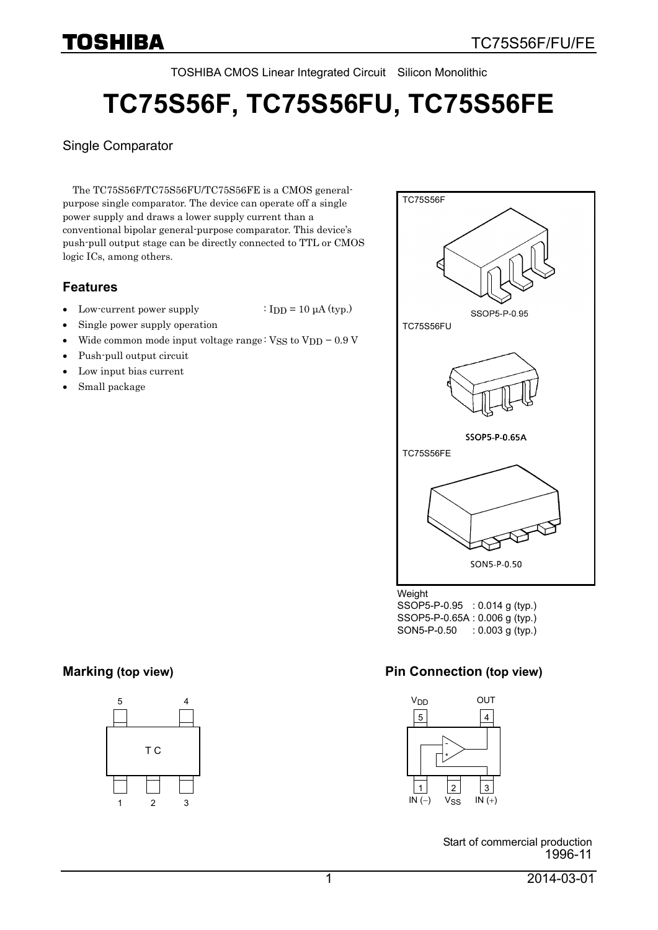TOSHIBA CMOS Linear Integrated Circuit Silicon Monolithic

# **TC75S56F, TC75S56FU, TC75S56FE**

#### Single Comparator

The TC75S56F/TC75S56FU/TC75S56FE is a CMOS generalpurpose single comparator. The device can operate off a single power supply and draws a lower supply current than a conventional bipolar general-purpose comparator. This device's push-pull output stage can be directly connected to TTL or CMOS logic ICs, among others.

#### **Features**

- Low-current power supply  $\cdot$  IDD = 10  $\mu$ A (typ.)
	-
- Single power supply operation
- Wide common mode input voltage range:  $VSS$  to  $VDD 0.9$  V
- Push-pull output circuit
- Low input bias current
- Small package



SSOP5-P-0.95 : 0.014 g (typ.) SSOP5-P-0.65A : 0.006 g (typ.) SON5-P-0.50 : 0.003 g (typ.)

#### **Marking (top view) Pin Connection (top view) Pin Connection (top view)**



Start of commercial production 1996-11

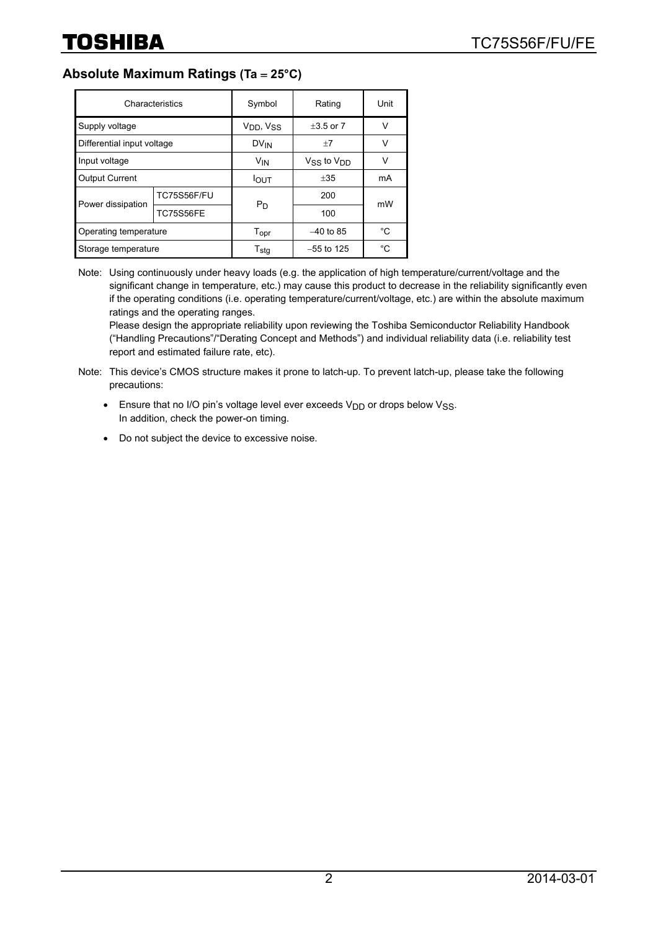### **Absolute Maximum Ratings (Ta** = **25°C)**

| Characteristics            |                    | Symbol                            | Rating               | Unit |  |
|----------------------------|--------------------|-----------------------------------|----------------------|------|--|
| Supply voltage             |                    | V <sub>DD</sub> , V <sub>SS</sub> | $+3.5$ or $7$        | v    |  |
| Differential input voltage |                    | <b>DV<sub>IN</sub></b>            | $+7$                 | V    |  |
| Input voltage              |                    | <b>V<sub>IN</sub></b>             | $V_{SS}$ to $V_{DD}$ | v    |  |
| <b>Output Current</b>      |                    | <b>I</b> OUT                      | $+35$                | mA   |  |
| Power dissipation          | <b>TC75S56F/FU</b> | $P_D$                             | 200                  | mW   |  |
|                            | <b>TC75S56FE</b>   |                                   | 100                  |      |  |
| Operating temperature      |                    | $T_{\text{opr}}$                  | $-40$ to 85          | °C   |  |
| Storage temperature        |                    | T <sub>sta</sub>                  | $-55$ to 125         | °C   |  |

Note: Using continuously under heavy loads (e.g. the application of high temperature/current/voltage and the significant change in temperature, etc.) may cause this product to decrease in the reliability significantly even if the operating conditions (i.e. operating temperature/current/voltage, etc.) are within the absolute maximum ratings and the operating ranges.

Please design the appropriate reliability upon reviewing the Toshiba Semiconductor Reliability Handbook ("Handling Precautions"/"Derating Concept and Methods") and individual reliability data (i.e. reliability test report and estimated failure rate, etc).

- Note: This device's CMOS structure makes it prone to latch-up. To prevent latch-up, please take the following precautions:
	- Ensure that no I/O pin's voltage level ever exceeds  $V_{DD}$  or drops below  $V_{SS}$ . In addition, check the power-on timing.
	- Do not subject the device to excessive noise.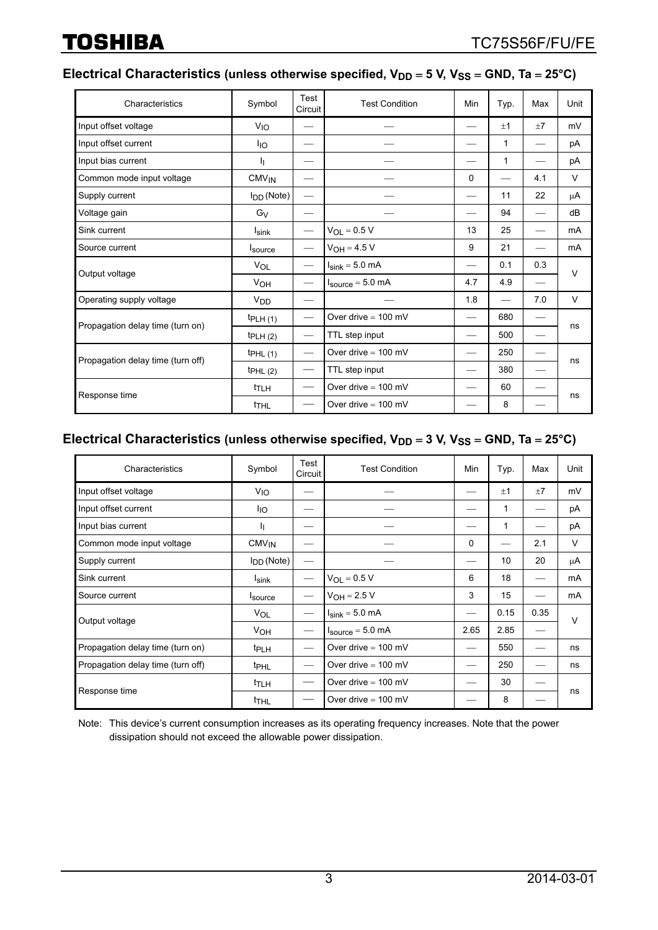### Electrical Characteristics (unless otherwise specified,  $V_{DD} = 5$  V,  $V_{SS} = GND$ , Ta = 25°C)

| Characteristics                   | Symbol                | Test<br>Circuit               | <b>Test Condition</b>                | Min                      | Typ.         | Max                      | Unit   |
|-----------------------------------|-----------------------|-------------------------------|--------------------------------------|--------------------------|--------------|--------------------------|--------|
| Input offset voltage              | V <sub>IO</sub>       |                               |                                      | $\overline{\phantom{0}}$ | ±1           | ±7                       | mV     |
| Input offset current              | <sup>I</sup> IO       |                               |                                      | $\overline{\phantom{0}}$ | $\mathbf{1}$ | $\overline{\phantom{0}}$ | рA     |
| Input bias current                | IJ.                   | __                            |                                      |                          | $\mathbf{1}$ | $\overline{\phantom{0}}$ | рA     |
| Common mode input voltage         | CMV <sub>IN</sub>     |                               |                                      | $\Omega$                 |              | 4.1                      | V      |
| Supply current                    | $I_{DD}$ (Note)       | $\overbrace{\phantom{aaaaa}}$ |                                      |                          | 11           | 22                       | μA     |
| Voltage gain                      | G <sub>V</sub>        |                               |                                      | —                        | 94           | $\overline{\phantom{0}}$ | dB     |
| Sink current                      | I <sub>sink</sub>     | $\overbrace{\phantom{aaaaa}}$ | $V_{OL} = 0.5 V$                     | 13                       | 25           |                          | mA     |
| Source current                    | <b>Isource</b>        | $\overbrace{\phantom{aaaaa}}$ | $V_{OH} = 4.5 V$                     | 9                        | 21           | $\overline{\phantom{0}}$ | mA     |
| Output voltage                    | VOL                   |                               | $I_{\text{sink}} = 5.0$ mA           |                          | 0.1          | 0.3                      | $\vee$ |
|                                   | <b>V<sub>OH</sub></b> | $\overbrace{\phantom{aaaaa}}$ | $I_{\text{source}} = 5.0 \text{ mA}$ | 4.7                      | 4.9          | $\overline{\phantom{0}}$ |        |
| Operating supply voltage          | V <sub>DD</sub>       |                               |                                      | 1.8                      |              | 7.0                      | V      |
| Propagation delay time (turn on)  | tpLH(1)               |                               | Over drive $= 100$ mV                |                          | 680          |                          | ns     |
|                                   | tpLH(2)               | $\overbrace{\phantom{aaaaa}}$ | TTL step input                       |                          | 500          |                          |        |
| Propagation delay time (turn off) | tpHL(1)               |                               | Over drive $= 100$ mV                |                          | 250          |                          |        |
|                                   | tpHL(2)               | $\hspace{0.05cm}$             | TTL step input                       |                          | 380          |                          | ns     |
| Response time                     | t <sub>TLH</sub>      |                               | Over drive $= 100$ mV                |                          | 60           |                          | ns     |
|                                   | t <sub>THL</sub>      |                               | Over drive $= 100$ mV                |                          | 8            |                          |        |

#### Electrical Characteristics (unless otherwise specified,  $V_{DD} = 3$  V,  $V_{SS} = GND$ , Ta = 25°C)

| Characteristics                   | Symbol                  | Test<br>Circuit | <b>Test Condition</b>                | Min  | Typ. | Max  | Unit |
|-----------------------------------|-------------------------|-----------------|--------------------------------------|------|------|------|------|
| Input offset voltage              | V <sub>IO</sub>         |                 |                                      |      | ±1   | ±7   | mV   |
| Input offset current              | <sup>I</sup> IO         |                 |                                      |      | 1    |      | pA   |
| Input bias current                | ħ                       |                 |                                      |      | 1    |      | pA   |
| Common mode input voltage         | <b>CMV<sub>IN</sub></b> |                 |                                      | 0    |      | 2.1  | V    |
| Supply current                    | $I_{DD}$ (Note)         | —               |                                      |      | 10   | 20   | μA   |
| Sink current                      | I <sub>sink</sub>       |                 | $V_{OL} = 0.5 V$                     | 6    | 18   |      | mA   |
| Source current                    | <sup>I</sup> source     |                 | $V_{OH} = 2.5 V$                     | 3    | 15   |      | mA   |
|                                   | VOL                     |                 | $I_{\text{sink}} = 5.0 \text{ mA}$   | —    | 0.15 | 0.35 | v    |
| Output voltage                    | V <sub>OH</sub>         |                 | $I_{\text{source}} = 5.0 \text{ mA}$ | 2.65 | 2.85 |      |      |
| Propagation delay time (turn on)  | t <sub>PLH</sub>        |                 | Over drive $= 100$ mV                |      | 550  |      | ns   |
| Propagation delay time (turn off) | <b>t</b> <sub>PHL</sub> |                 | Over drive $= 100$ mV                |      | 250  |      | ns   |
| Response time                     | t <sub>TLH</sub>        |                 | Over drive $= 100$ mV                |      | 30   |      | ns   |
|                                   | t <sub>THL</sub>        |                 | Over drive $= 100$ mV                |      | 8    |      |      |

Note: This device's current consumption increases as its operating frequency increases. Note that the power dissipation should not exceed the allowable power dissipation.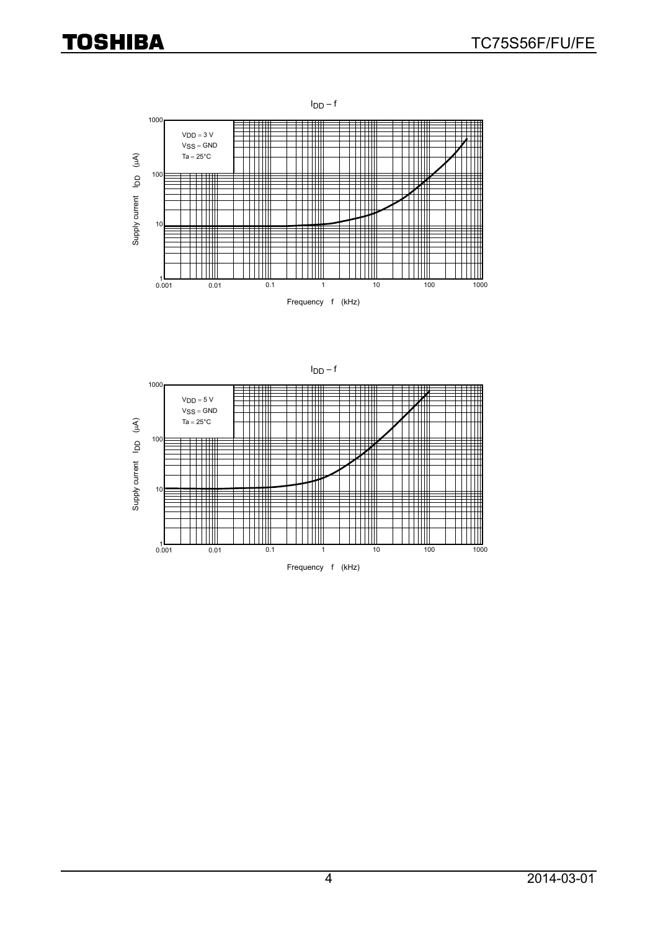

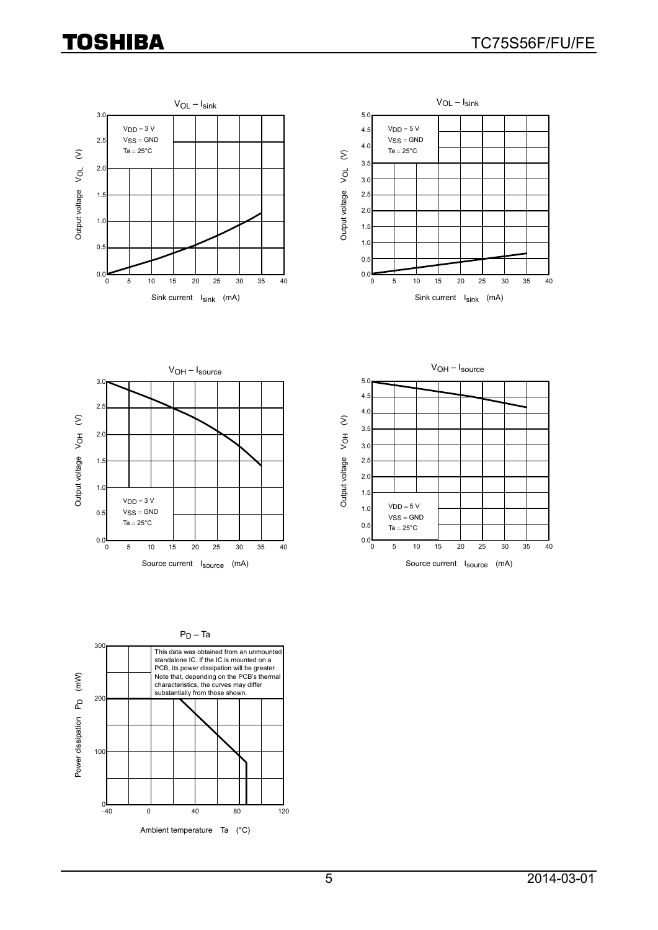







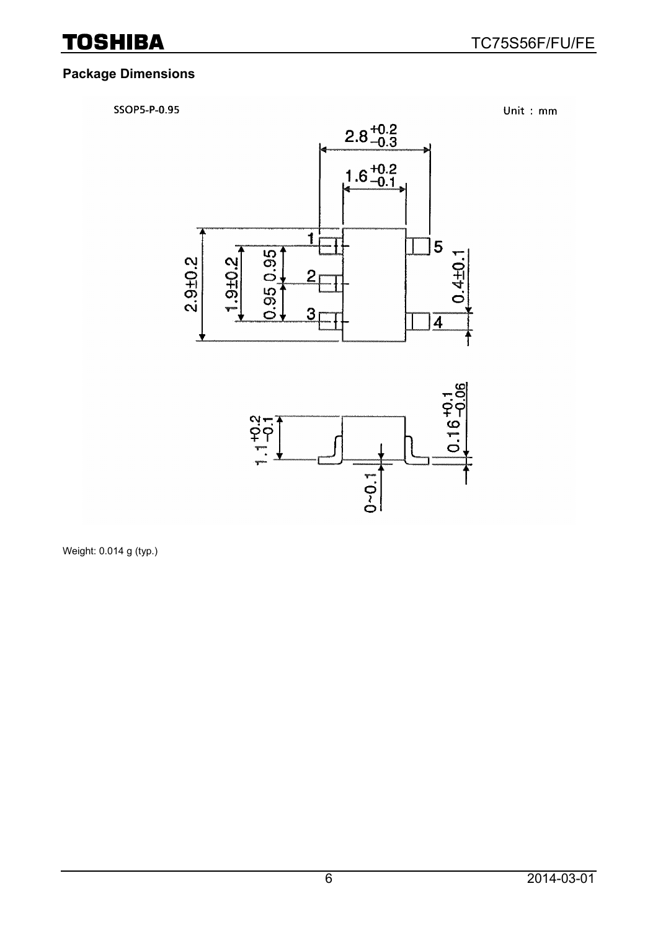### **Package Dimensions**

SSOP5-P-0.95

Unit: mm





Weight: 0.014 g (typ.)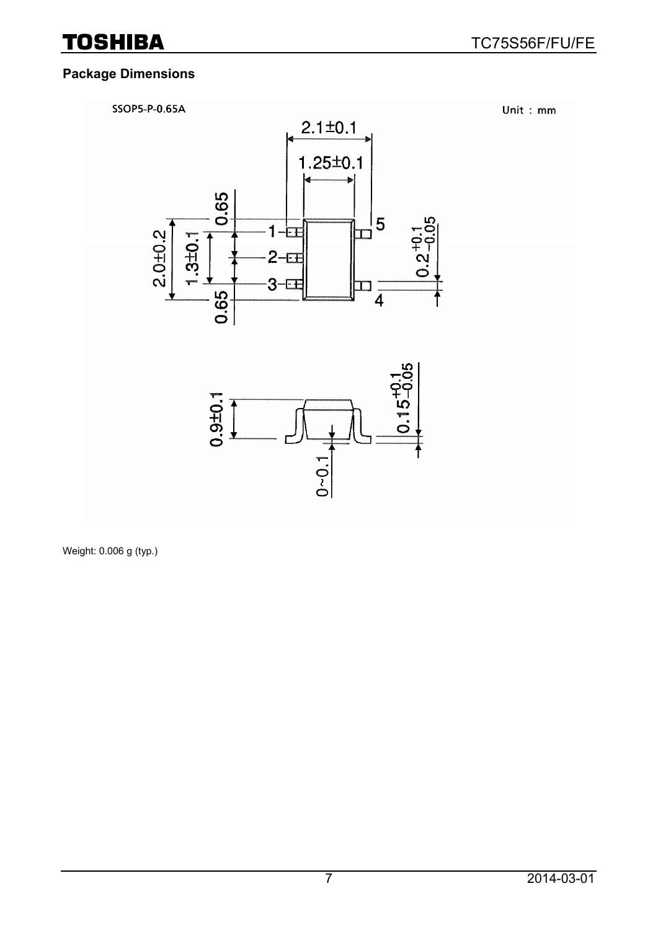### **Package Dimensions**





Weight: 0.006 g (typ.)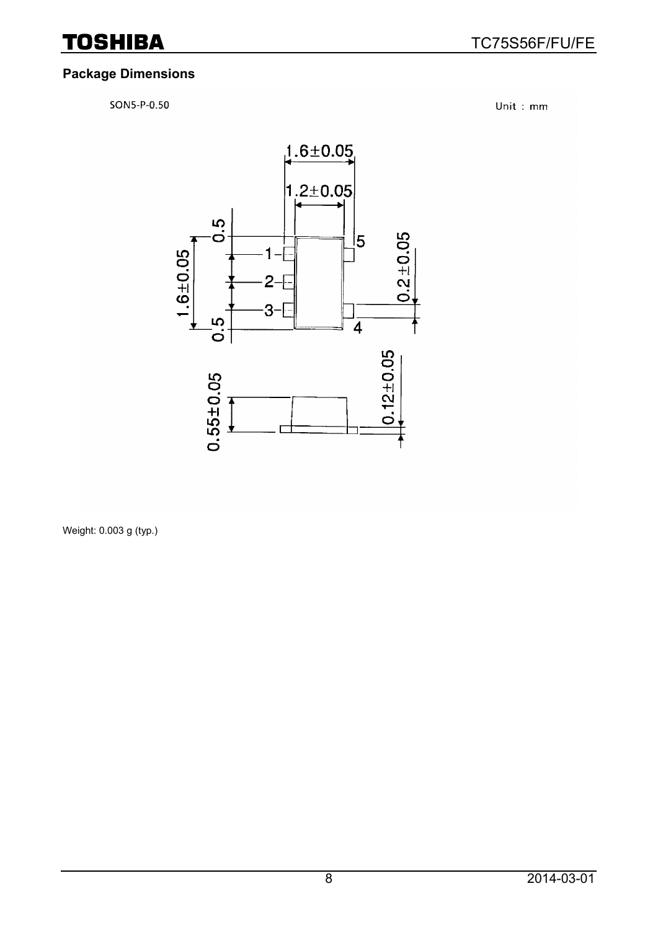### **Package Dimensions**

SON5-P-0.50

Unit: mm



Weight: 0.003 g (typ.)